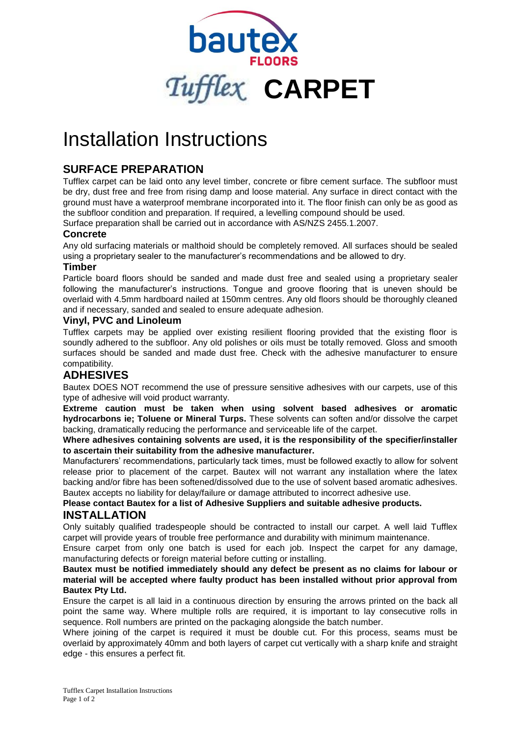

# Installation Instructions

# **SURFACE PREPARATION**

Tufflex carpet can be laid onto any level timber, concrete or fibre cement surface. The subfloor must be dry, dust free and free from rising damp and loose material. Any surface in direct contact with the ground must have a waterproof membrane incorporated into it. The floor finish can only be as good as the subfloor condition and preparation. If required, a levelling compound should be used.

Surface preparation shall be carried out in accordance with AS/NZS 2455.1.2007.

### **Concrete**

Any old surfacing materials or malthoid should be completely removed. All surfaces should be sealed using a proprietary sealer to the manufacturer's recommendations and be allowed to dry.

#### **Timber**

Particle board floors should be sanded and made dust free and sealed using a proprietary sealer following the manufacturer's instructions. Tongue and groove flooring that is uneven should be overlaid with 4.5mm hardboard nailed at 150mm centres. Any old floors should be thoroughly cleaned and if necessary, sanded and sealed to ensure adequate adhesion.

## **Vinyl, PVC and Linoleum**

Tufflex carpets may be applied over existing resilient flooring provided that the existing floor is soundly adhered to the subfloor. Any old polishes or oils must be totally removed. Gloss and smooth surfaces should be sanded and made dust free. Check with the adhesive manufacturer to ensure compatibility.

# **ADHESIVES**

Bautex DOES NOT recommend the use of pressure sensitive adhesives with our carpets, use of this type of adhesive will void product warranty.

**Extreme caution must be taken when using solvent based adhesives or aromatic hydrocarbons ie; Toluene or Mineral Turps.** These solvents can soften and/or dissolve the carpet backing, dramatically reducing the performance and serviceable life of the carpet.

**Where adhesives containing solvents are used, it is the responsibility of the specifier/installer to ascertain their suitability from the adhesive manufacturer.**

Manufacturers' recommendations, particularly tack times, must be followed exactly to allow for solvent release prior to placement of the carpet. Bautex will not warrant any installation where the latex backing and/or fibre has been softened/dissolved due to the use of solvent based aromatic adhesives. Bautex accepts no liability for delay/failure or damage attributed to incorrect adhesive use.

**Please contact Bautex for a list of Adhesive Suppliers and suitable adhesive products.**

## **INSTALLATION**

Only suitably qualified tradespeople should be contracted to install our carpet. A well laid Tufflex carpet will provide years of trouble free performance and durability with minimum maintenance.

Ensure carpet from only one batch is used for each job. Inspect the carpet for any damage, manufacturing defects or foreign material before cutting or installing.

#### **Bautex must be notified immediately should any defect be present as no claims for labour or material will be accepted where faulty product has been installed without prior approval from Bautex Pty Ltd.**

Ensure the carpet is all laid in a continuous direction by ensuring the arrows printed on the back all point the same way. Where multiple rolls are required, it is important to lay consecutive rolls in sequence. Roll numbers are printed on the packaging alongside the batch number.

Where joining of the carpet is required it must be double cut. For this process, seams must be overlaid by approximately 40mm and both layers of carpet cut vertically with a sharp knife and straight edge - this ensures a perfect fit.